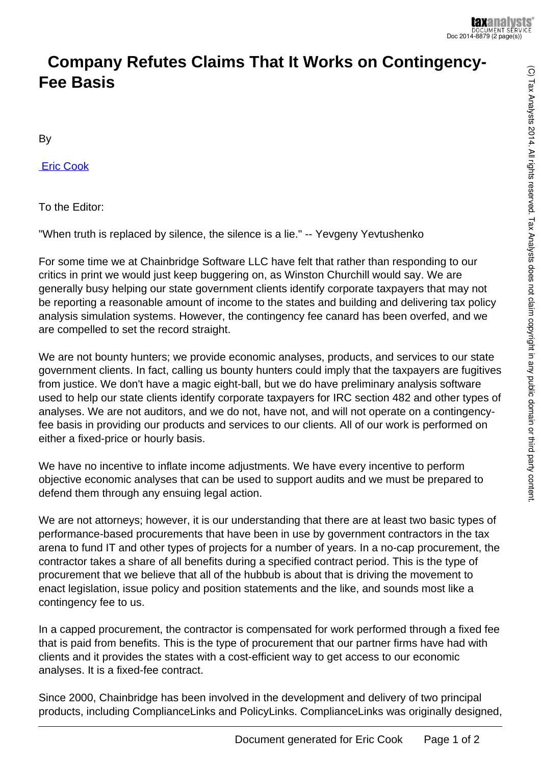## **Company Refutes Claims That It Works on Contingency-Fee Basis**

By

 [Eric Cook](http://www.taxnotes.com/document-list/contributors-authors/cook-eric?subscribed=1)

To the Editor:

"When truth is replaced by silence, the silence is a lie." -- Yevgeny Yevtushenko

For some time we at Chainbridge Software LLC have felt that rather than responding to our critics in print we would just keep buggering on, as Winston Churchill would say. We are generally busy helping our state government clients identify corporate taxpayers that may not be reporting a reasonable amount of income to the states and building and delivering tax policy analysis simulation systems. However, the contingency fee canard has been overfed, and we are compelled to set the record straight.

We are not bounty hunters; we provide economic analyses, products, and services to our state government clients. In fact, calling us bounty hunters could imply that the taxpayers are fugitives from justice. We don't have a magic eight-ball, but we do have preliminary analysis software used to help our state clients identify corporate taxpayers for IRC section 482 and other types of analyses. We are not auditors, and we do not, have not, and will not operate on a contingencyfee basis in providing our products and services to our clients. All of our work is performed on either a fixed-price or hourly basis.

We have no incentive to inflate income adjustments. We have every incentive to perform objective economic analyses that can be used to support audits and we must be prepared to defend them through any ensuing legal action.

We are not attorneys; however, it is our understanding that there are at least two basic types of performance-based procurements that have been in use by government contractors in the tax arena to fund IT and other types of projects for a number of years. In a no-cap procurement, the contractor takes a share of all benefits during a specified contract period. This is the type of procurement that we believe that all of the hubbub is about that is driving the movement to enact legislation, issue policy and position statements and the like, and sounds most like a contingency fee to us.

In a capped procurement, the contractor is compensated for work performed through a fixed fee that is paid from benefits. This is the type of procurement that our partner firms have had with clients and it provides the states with a cost-efficient way to get access to our economic analyses. It is a fixed-fee contract.

Since 2000, Chainbridge has been involved in the development and delivery of two principal products, including ComplianceLinks and PolicyLinks. ComplianceLinks was originally designed,